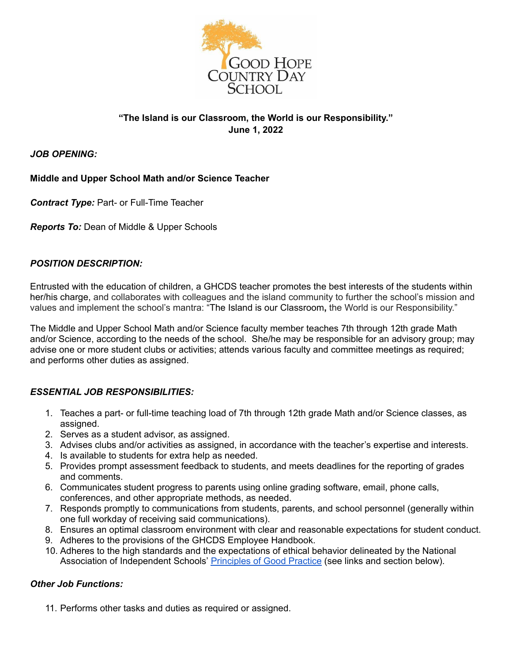

# **"The Island is our Classroom, the World is our Responsibility." June 1, 2022**

### *JOB OPENING:*

## **Middle and Upper School Math and/or Science Teacher**

*Contract Type:* Part- or Full-Time Teacher

*Reports To:* Dean of Middle & Upper Schools

## *POSITION DESCRIPTION:*

Entrusted with the education of children, a GHCDS teacher promotes the best interests of the students within her/his charge, and collaborates with colleagues and the island community to further the school's mission and values and implement the school's mantra: "The Island is our Classroom**,** the World is our Responsibility."

The Middle and Upper School Math and/or Science faculty member teaches 7th through 12th grade Math and/or Science, according to the needs of the school. She/he may be responsible for an advisory group; may advise one or more student clubs or activities; attends various faculty and committee meetings as required; and performs other duties as assigned.

### *ESSENTIAL JOB RESPONSIBILITIES:*

- 1. Teaches a part- or full-time teaching load of 7th through 12th grade Math and/or Science classes, as assigned.
- 2. Serves as a student advisor, as assigned.
- 3. Advises clubs and/or activities as assigned, in accordance with the teacher's expertise and interests.
- 4. Is available to students for extra help as needed.
- 5. Provides prompt assessment feedback to students, and meets deadlines for the reporting of grades and comments.
- 6. Communicates student progress to parents using online grading software, email, phone calls, conferences, and other appropriate methods, as needed.
- 7. Responds promptly to communications from students, parents, and school personnel (generally within one full workday of receiving said communications).
- 8. Ensures an optimal classroom environment with clear and reasonable expectations for student conduct.
- 9. Adheres to the provisions of the GHCDS Employee Handbook.
- 10. Adheres to the high standards and the expectations of ethical behavior delineated by the National Association of Independent Schools' [Principles](https://www.nais.org/getmedia/39e99ca5-0821-47d7-b710-eeaf6e0ca114/NAIS_PGP_2017.pdf) of Good Practice (see links and section below).

## *Other Job Functions:*

11. Performs other tasks and duties as required or assigned.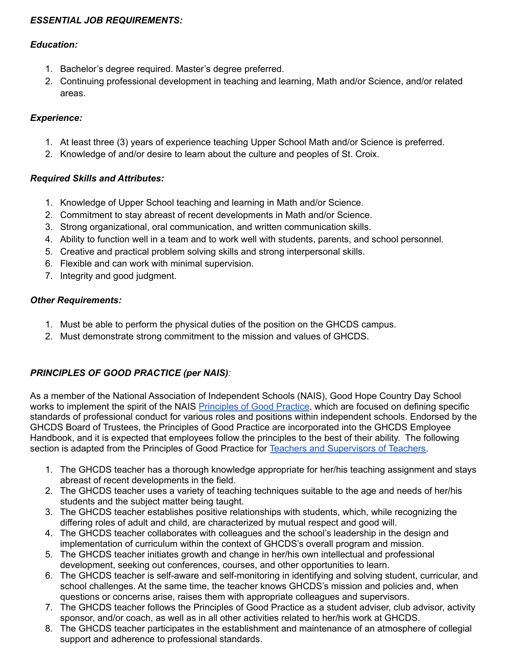# *ESSENTIAL JOB REQUIREMENTS:*

## *Education:*

- 1. Bachelor's degree required. Master's degree preferred.
- 2. Continuing professional development in teaching and learning, Math and/or Science, and/or related areas.

# *Experience:*

- 1. At least three (3) years of experience teaching Upper School Math and/or Science is preferred.
- 2. Knowledge of and/or desire to learn about the culture and peoples of St. Croix.

## *Required Skills and Attributes:*

- 1. Knowledge of Upper School teaching and learning in Math and/or Science.
- 2. Commitment to stay abreast of recent developments in Math and/or Science.
- 3. Strong organizational, oral communication, and written communication skills.
- 4. Ability to function well in a team and to work well with students, parents, and school personnel.
- 5. Creative and practical problem solving skills and strong interpersonal skills.
- 6. Flexible and can work with minimal supervision.
- 7. Integrity and good judgment.

# *Other Requirements:*

- 1. Must be able to perform the physical duties of the position on the GHCDS campus.
- 2. Must demonstrate strong commitment to the mission and values of GHCDS.

# *PRINCIPLES OF GOOD PRACTICE (per NAIS):*

As a member of the National Association of Independent Schools (NAIS), Good Hope Country Day School works to implement the spirit of the NAIS [Principles](https://www.nais.org/getmedia/39e99ca5-0821-47d7-b710-eeaf6e0ca114/NAIS_PGP_2017.pdf) of Good Practice, which are focused on defining specific standards of professional conduct for various roles and positions within independent schools. Endorsed by the GHCDS Board of Trustees, the Principles of Good Practice are incorporated into the GHCDS Employee Handbook, and it is expected that employees follow the principles to the best of their ability. The following section is adapted from the Principles of Good Practice for Teachers and [Supervisors](https://www.nais.org/learn/principles-of-good-practice/teachers-and-supervisors-of-teachers/) of Teachers.

- 1. The GHCDS teacher has a thorough knowledge appropriate for her/his teaching assignment and stays abreast of recent developments in the field.
- 2. The GHCDS teacher uses a variety of teaching techniques suitable to the age and needs of her/his students and the subject matter being taught.
- 3. The GHCDS teacher establishes positive relationships with students, which, while recognizing the differing roles of adult and child, are characterized by mutual respect and good will.
- 4. The GHCDS teacher collaborates with colleagues and the school's leadership in the design and implementation of curriculum within the context of GHCDS's overall program and mission.
- 5. The GHCDS teacher initiates growth and change in her/his own intellectual and professional development, seeking out conferences, courses, and other opportunities to learn.
- 6. The GHCDS teacher is self-aware and self-monitoring in identifying and solving student, curricular, and school challenges. At the same time, the teacher knows GHCDS's mission and policies and, when questions or concerns arise, raises them with appropriate colleagues and supervisors.
- 7. The GHCDS teacher follows the Principles of Good Practice as a student adviser, club advisor, activity sponsor, and/or coach, as well as in all other activities related to her/his work at GHCDS.
- 8. The GHCDS teacher participates in the establishment and maintenance of an atmosphere of collegial support and adherence to professional standards.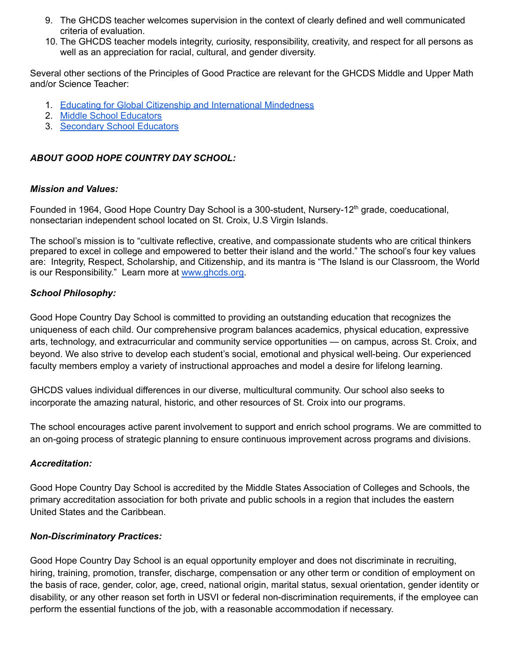- 9. The GHCDS teacher welcomes supervision in the context of clearly defined and well communicated criteria of evaluation.
- 10. The GHCDS teacher models integrity, curiosity, responsibility, creativity, and respect for all persons as well as an appreciation for racial, cultural, and gender diversity.

Several other sections of the Principles of Good Practice are relevant for the GHCDS Middle and Upper Math and/or Science Teacher:

- 1. Educating for Global Citizenship and [International](https://www.nais.org/learn/principles-of-good-practice/educating-for-global-citizenship/) Mindedness
- 2. Middle School [Educators](https://www.nais.org/learn/principles-of-good-practice/middle-school-educators/)
- 3. [Secondary](https://www.nais.org/learn/principles-of-good-practice/secondary-school-educators/) School Educators

# *ABOUT GOOD HOPE COUNTRY DAY SCHOOL:*

### *Mission and Values:*

Founded in 1964, Good Hope Country Day School is a 300-student, Nursery-12<sup>th</sup> grade, coeducational, nonsectarian independent school located on St. Croix, U.S Virgin Islands.

The school's mission is to "cultivate reflective, creative, and compassionate students who are critical thinkers prepared to excel in college and empowered to better their island and the world." The school's four key values are: Integrity, Respect, Scholarship, and Citizenship, and its mantra is "The Island is our Classroom, the World is our Responsibility." Learn more at [www.ghcds.org.](http://www.ghcds.org)

## *School Philosophy:*

Good Hope Country Day School is committed to providing an outstanding education that recognizes the uniqueness of each child. Our comprehensive program balances academics, physical education, expressive arts, technology, and extracurricular and community service opportunities — on campus, across St. Croix, and beyond. We also strive to develop each student's social, emotional and physical well-being. Our experienced faculty members employ a variety of instructional approaches and model a desire for lifelong learning.

GHCDS values individual differences in our diverse, multicultural community. Our school also seeks to incorporate the amazing natural, historic, and other resources of St. Croix into our programs.

The school encourages active parent involvement to support and enrich school programs. We are committed to an on-going process of strategic planning to ensure continuous improvement across programs and divisions.

### *Accreditation:*

Good Hope Country Day School is accredited by the Middle States Association of Colleges and Schools, the primary accreditation association for both private and public schools in a region that includes the eastern United States and the Caribbean.

### *Non-Discriminatory Practices:*

Good Hope Country Day School is an equal opportunity employer and does not discriminate in recruiting, hiring, training, promotion, transfer, discharge, compensation or any other term or condition of employment on the basis of race, gender, color, age, creed, national origin, marital status, sexual orientation, gender identity or disability, or any other reason set forth in USVI or federal non-discrimination requirements, if the employee can perform the essential functions of the job, with a reasonable accommodation if necessary.